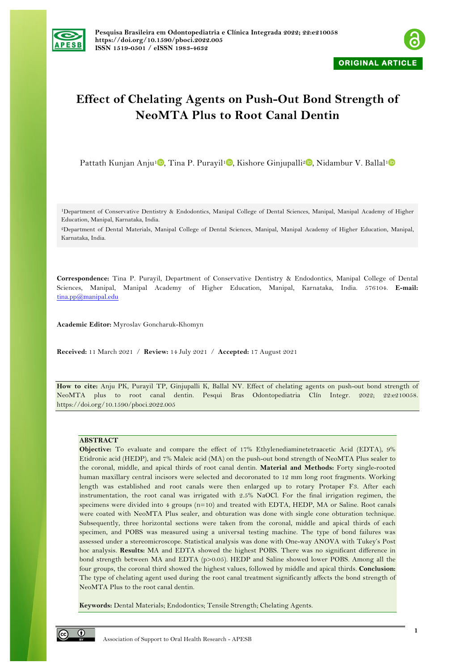



# **Effect of Chelating Agents on Push-Out Bond Strength of NeoMTA Plus to Root Canal Dentin**

Pattath Kunjan Anju<sup>[1](https://orcid.org/0000-0002-3684-4024)</sup> , Tina P. Purayil<sup>1</sup> , Kishore Ginjupalli<sup>[2](https://orcid.org/0000-0002-1824-2054)</sup> , Nidambur V. Ballal<sup>1</sup>

1Department of Conservative Dentistry & Endodontics, Manipal College of Dental Sciences, Manipal, Manipal Academy of Higher Education, Manipal, Karnataka, India.

2Department of Dental Materials, Manipal College of Dental Sciences, Manipal, Manipal Academy of Higher Education, Manipal, Karnataka, India.

**Correspondence:** Tina P. Purayil, Department of Conservative Dentistry & Endodontics, Manipal College of Dental Sciences, Manipal, Manipal Academy of Higher Education, Manipal, Karnataka, India. 576104. **E-mail:** tina.pp@manipal.edu

**Academic Editor:** Myroslav Goncharuk-Khomyn

**Received:** 11 March 2021 / **Review:** 14 July 2021 / **Accepted:** 17 August 2021

**How to cite:** Anju PK, Purayil TP, Ginjupalli K, Ballal NV. Effect of chelating agents on push-out bond strength of NeoMTA plus to root canal dentin. Pesqui Bras Odontopediatria Clín Integr. 2022; 22:e210058. https://doi.org/10.1590/pboci.2022.005

## **ABSTRACT**

**Objective:** To evaluate and compare the effect of 17% Ethylenediaminetetraacetic Acid (EDTA), 9% Etidronic acid (HEDP), and 7% Maleic acid (MA) on the push-out bond strength of NeoMTA Plus sealer to the coronal, middle, and apical thirds of root canal dentin. **Material and Methods:** Forty single-rooted human maxillary central incisors were selected and decoronated to 12 mm long root fragments. Working length was established and root canals were then enlarged up to rotary Protaper F3. After each instrumentation, the root canal was irrigated with 2.5% NaOCl. For the final irrigation regimen, the specimens were divided into 4 groups (n=10) and treated with EDTA, HEDP, MA or Saline. Root canals were coated with NeoMTA Plus sealer, and obturation was done with single cone obturation technique. Subsequently, three horizontal sections were taken from the coronal, middle and apical thirds of each specimen, and POBS was measured using a universal testing machine. The type of bond failures was assessed under a stereomicroscope. Statistical analysis was done with One-way ANOVA with Tukey's Post hoc analysis. **Results:** MA and EDTA showed the highest POBS. There was no significant difference in bond strength between MA and EDTA (p>0.05). HEDP and Saline showed lower POBS. Among all the four groups, the coronal third showed the highest values, followed by middle and apical thirds. **Conclusion:** The type of chelating agent used during the root canal treatment significantly affects the bond strength of NeoMTA Plus to the root canal dentin.

**Keywords:** Dental Materials; Endodontics; Tensile Strength; Chelating Agents.

 $\odot$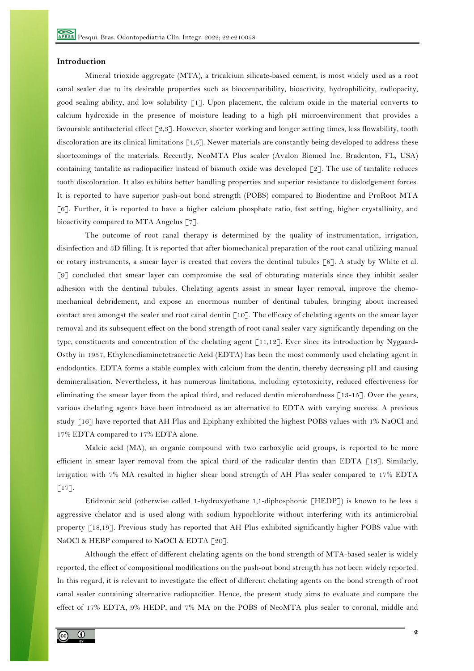## **Introduction**

Mineral trioxide aggregate (MTA), a tricalcium silicate-based cement, is most widely used as a root canal sealer due to its desirable properties such as biocompatibility, bioactivity, hydrophilicity, radiopacity, good sealing ability, and low solubility  $\lceil 1 \rceil$ . Upon placement, the calcium oxide in the material converts to calcium hydroxide in the presence of moisture leading to a high pH microenvironment that provides a favourable antibacterial effect [2,3]. However, shorter working and longer setting times, less flowability, tooth discoloration are its clinical limitations  $[4,5]$ . Newer materials are constantly being developed to address these shortcomings of the materials. Recently, NeoMTA Plus sealer (Avalon Biomed Inc. Bradenton, FL, USA) containing tantalite as radiopacifier instead of bismuth oxide was developed [2]. The use of tantalite reduces tooth discoloration. It also exhibits better handling properties and superior resistance to dislodgement forces. It is reported to have superior push-out bond strength (POBS) compared to Biodentine and ProRoot MTA [6]. Further, it is reported to have a higher calcium phosphate ratio, fast setting, higher crystallinity, and bioactivity compared to MTA Angelus [7].

The outcome of root canal therapy is determined by the quality of instrumentation, irrigation, disinfection and 3D filling. It is reported that after biomechanical preparation of the root canal utilizing manual or rotary instruments, a smear layer is created that covers the dentinal tubules [8]. A study by White et al. [9] concluded that smear layer can compromise the seal of obturating materials since they inhibit sealer adhesion with the dentinal tubules. Chelating agents assist in smear layer removal, improve the chemomechanical debridement, and expose an enormous number of dentinal tubules, bringing about increased contact area amongst the sealer and root canal dentin  $\lceil 10 \rceil$ . The efficacy of chelating agents on the smear layer removal and its subsequent effect on the bond strength of root canal sealer vary significantly depending on the type, constituents and concentration of the chelating agent [11,12]. Ever since its introduction by Nygaard-Ostby in 1957, Ethylenediaminetetraacetic Acid (EDTA) has been the most commonly used chelating agent in endodontics. EDTA forms a stable complex with calcium from the dentin, thereby decreasing pH and causing demineralisation. Nevertheless, it has numerous limitations, including cytotoxicity, reduced effectiveness for eliminating the smear layer from the apical third, and reduced dentin microhardness [13-15]. Over the years, various chelating agents have been introduced as an alternative to EDTA with varying success. A previous study [16] have reported that AH Plus and Epiphany exhibited the highest POBS values with 1% NaOCl and 17% EDTA compared to 17% EDTA alone.

Maleic acid (MA), an organic compound with two carboxylic acid groups, is reported to be more efficient in smear layer removal from the apical third of the radicular dentin than EDTA  $\lceil 13 \rceil$ . Similarly, irrigation with 7% MA resulted in higher shear bond strength of AH Plus sealer compared to 17% EDTA  $\lceil 17 \rceil$ .

Etidronic acid (otherwise called 1-hydroxyethane 1,1-diphosphonic [HEDP]) is known to be less a aggressive chelator and is used along with sodium hypochlorite without interfering with its antimicrobial property [18,19]. Previous study has reported that AH Plus exhibited significantly higher POBS value with NaOCl & HEBP compared to NaOCl & EDTA [20].

Although the effect of different chelating agents on the bond strength of MTA-based sealer is widely reported, the effect of compositional modifications on the push-out bond strength has not been widely reported. In this regard, it is relevant to investigate the effect of different chelating agents on the bond strength of root canal sealer containing alternative radiopacifier. Hence, the present study aims to evaluate and compare the effect of 17% EDTA, 9% HEDP, and 7% MA on the POBS of NeoMTA plus sealer to coronal, middle and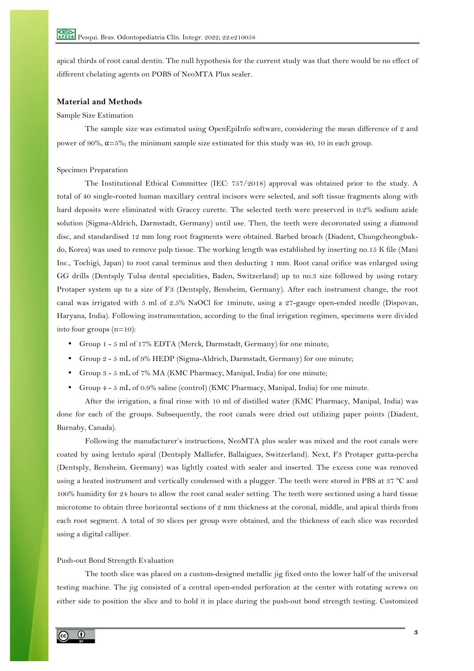apical thirds of root canal dentin. The null hypothesis for the current study was that there would be no effect of different chelating agents on POBS of NeoMTA Plus sealer.

## **Material and Methods**

## Sample Size Estimation

The sample size was estimated using OpenEpiInfo software, considering the mean difference of 2 and power of 90%,  $\alpha = 5\%$ ; the minimum sample size estimated for this study was 40, 10 in each group.

## Specimen Preparation

The Institutional Ethical Committee (IEC: 757/2018) approval was obtained prior to the study. A total of 40 single-rooted human maxillary central incisors were selected, and soft tissue fragments along with hard deposits were eliminated with Gracey curette. The selected teeth were preserved in 0.2% sodium azide solution (Sigma-Aldrich, Darmstadt, Germany) until use. Then, the teeth were decoronated using a diamond disc, and standardised 12 mm long root fragments were obtained. Barbed broach (Diadent, Chungcheongbukdo, Korea) was used to remove pulp tissue. The working length was established by inserting no.15 K file (Mani Inc., Tochigi, Japan) to root canal terminus and then deducting 1 mm. Root canal orifice was enlarged using GG drills (Dentsply Tulsa dental specialities, Baden, Switzerland) up to no.3 size followed by using rotary Protaper system up to a size of F3 (Dentsply, Bensheim, Germany). After each instrument change, the root canal was irrigated with 5 ml of 2.5% NaOCl for 1minute, using a 27-gauge open-ended needle (Dispovan, Haryana, India). Following instrumentation, according to the final irrigation regimen, specimens were divided into four groups (n=10):

- Group 1 5 ml of 17% EDTA (Merck, Darmstadt, Germany) for one minute;
- Group 2 5 mL of 9% HEDP (Sigma-Aldrich, Darmstadt, Germany) for one minute;
- Group 3 5 mL of 7% MA (KMC Pharmacy, Manipal, India) for one minute;
- Group 4 5 mL of 0.9% saline (control) (KMC Pharmacy, Manipal, India) for one minute.

After the irrigation, a final rinse with 10 ml of distilled water (KMC Pharmacy, Manipal, India) was done for each of the groups. Subsequently, the root canals were dried out utilizing paper points (Diadent, Burnaby, Canada).

Following the manufacturer's instructions, NeoMTA plus sealer was mixed and the root canals were coated by using lentulo spiral (Dentsply Malliefer, Ballaigues, Switzerland). Next, F3 Protaper gutta-percha (Dentsply, Bensheim, Germany) was lightly coated with sealer and inserted. The excess cone was removed using a heated instrument and vertically condensed with a plugger. The teeth were stored in PBS at 37 ºC and 100% humidity for 24 hours to allow the root canal sealer setting. The teeth were sectioned using a hard tissue microtome to obtain three horizontal sections of 2 mm thickness at the coronal, middle, and apical thirds from each root segment. A total of 30 slices per group were obtained, and the thickness of each slice was recorded using a digital calliper.

### Push-out Bond Strength Evaluation

The tooth slice was placed on a custom-designed metallic jig fixed onto the lower half of the universal testing machine. The jig consisted of a central open-ended perforation at the center with rotating screws on either side to position the slice and to hold it in place during the push-out bond strength testing. Customized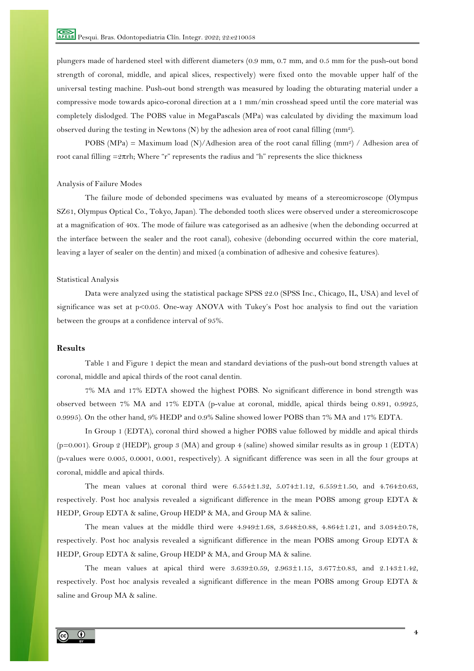plungers made of hardened steel with different diameters (0.9 mm, 0.7 mm, and 0.5 mm for the push-out bond strength of coronal, middle, and apical slices, respectively) were fixed onto the movable upper half of the universal testing machine. Push-out bond strength was measured by loading the obturating material under a compressive mode towards apico-coronal direction at a 1 mm/min crosshead speed until the core material was completely dislodged. The POBS value in MegaPascals (MPa) was calculated by dividing the maximum load observed during the testing in Newtons (N) by the adhesion area of root canal filling (mm2).

POBS (MPa) = Maximum load (N)/Adhesion area of the root canal filling (mm<sup>2</sup>) / Adhesion area of root canal filling  $=2\pi rh$ ; Where "r" represents the radius and "h" represents the slice thickness

## Analysis of Failure Modes

The failure mode of debonded specimens was evaluated by means of a stereomicroscope (Olympus SZ61, Olympus Optical Co., Tokyo, Japan). The debonded tooth slices were observed under a stereomicroscope at a magnification of 40x. The mode of failure was categorised as an adhesive (when the debonding occurred at the interface between the sealer and the root canal), cohesive (debonding occurred within the core material, leaving a layer of sealer on the dentin) and mixed (a combination of adhesive and cohesive features).

## Statistical Analysis

Data were analyzed using the statistical package SPSS 22.0 (SPSS Inc., Chicago, IL, USA) and level of significance was set at p<0.05. One-way ANOVA with Tukey's Post hoc analysis to find out the variation between the groups at a confidence interval of 95%.

# **Results**

Table 1 and Figure 1 depict the mean and standard deviations of the push-out bond strength values at coronal, middle and apical thirds of the root canal dentin.

7% MA and 17% EDTA showed the highest POBS. No significant difference in bond strength was observed between 7% MA and 17% EDTA (p-value at coronal, middle, apical thirds being 0.891, 0.9925, 0.9995). On the other hand, 9% HEDP and 0.9% Saline showed lower POBS than 7% MA and 17% EDTA.

In Group 1 (EDTA), coronal third showed a higher POBS value followed by middle and apical thirds (p=0.001). Group 2 (HEDP), group 3 (MA) and group 4 (saline) showed similar results as in group 1 (EDTA) (p-values were 0.005, 0.0001, 0.001, respectively). A significant difference was seen in all the four groups at coronal, middle and apical thirds.

The mean values at coronal third were  $6.554 \pm 1.32$ ,  $5.074 \pm 1.12$ ,  $6.559 \pm 1.50$ , and  $4.764 \pm 0.63$ , respectively. Post hoc analysis revealed a significant difference in the mean POBS among group EDTA & HEDP, Group EDTA & saline, Group HEDP & MA, and Group MA & saline.

The mean values at the middle third were 4.949±1.68, 3.648±0.88, 4.864±1.21, and 3.034±0.78, respectively. Post hoc analysis revealed a significant difference in the mean POBS among Group EDTA & HEDP, Group EDTA & saline, Group HEDP & MA, and Group MA & saline.

The mean values at apical third were 3.639±0.59, 2.963±1.15, 3.677±0.83, and 2.143±1.42, respectively. Post hoc analysis revealed a significant difference in the mean POBS among Group EDTA & saline and Group MA & saline.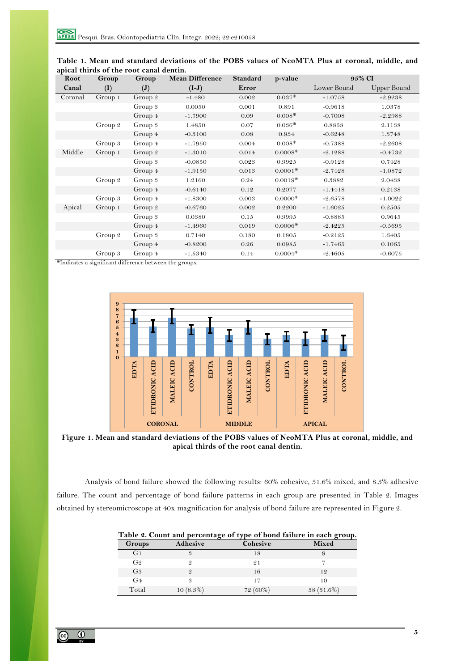| Root    | Group   | Group          | <b>Mean Difference</b> | <b>Standard</b> | p-value   |             | 95% CI      |
|---------|---------|----------------|------------------------|-----------------|-----------|-------------|-------------|
| Canal   | (I)     | $(\mathbf{J})$ | $(I-J)$                | Error           |           | Lower Bound | Upper Bound |
| Coronal | Group 1 | Group 2        | $-1.480$               | 0.002           | $0.037*$  | $-1.0758$   | $-2.9238$   |
|         |         | Group 3        | 0.0050                 | 0.001           | 0.891     | $-0.9618$   | 1.0378      |
|         |         | Group 4        | $-1.7900$              | 0.09            | $0.008*$  | $-0.7008$   | $-2.2988$   |
|         | Group 2 | Group 3        | 1.4850                 | 0.07            | $0.036*$  | 0.8858      | 2.1138      |
|         |         | Group 4        | $-0.3100$              | 0.08            | 0.934     | $-0.6248$   | 1.3748      |
|         | Group 3 | Group 4        | $-1.7950$              | 0.004           | $0.008*$  | $-0.7388$   | $-2.2608$   |
| Middle  | Group 1 | Group 2        | $-1.3010$              | 0.014           | $0.0008*$ | $-2.1288$   | $-0.4732$   |
|         |         | Group 3        | $-0.0850$              | 0.023           | 0.9925    | $-0.9128$   | 0.7428      |
|         |         | Group 4        | $-1.9150$              | 0.013           | $0.0001*$ | $-2.7428$   | $-1.0872$   |
|         | Group 2 | Group 3        | 1.2160                 | 0.24            | $0.0019*$ | 0.3882      | 2.0438      |
|         |         | Group 4        | $-0.6140$              | 0.12            | 0.2077    | $-1.4418$   | 0.2138      |
|         | Group 3 | Group 4        | $-1.8300$              | 0.003           | $0.0000*$ | $-2.6578$   | $-1.0022$   |
| Apical  | Group 1 | Group 2        | $-0.6760$              | 0.002           | 0.2200    | $-1.6025$   | 0.2505      |
|         |         | Group 3        | 0.0380                 | 0.15            | 0.9995    | $-0.8885$   | 0.9645      |
|         |         | Group 4        | $-1.4960$              | 0.019           | $0.0006*$ | $-2.4225$   | $-0.5695$   |
|         | Group 2 | Group 3        | 0.7140                 | 0.180           | 0.1805    | $-0.2125$   | 1.6405      |
|         |         | Group 4        | $-0.8200$              | 0.26            | 0.0985    | $-1.7465$   | 0.1065      |
|         | Group 3 | Group 4        | $-1.5340$              | 0.14            | $0.0004*$ | $-2.4605$   | $-0.6075$   |

**Table 1. Mean and standard deviations of the POBS values of NeoMTA Plus at coronal, middle, and apical thirds of the root canal dentin.**

\*Indicates a significant difference between the groups.



**Figure 1. Mean and standard deviations of the POBS values of NeoMTA Plus at coronal, middle, and apical thirds of the root canal dentin.**

Analysis of bond failure showed the following results: 60% cohesive, 31.6% mixed, and 8.3% adhesive failure. The count and percentage of bond failure patterns in each group are presented in Table 2. Images obtained by stereomicroscope at 40x magnification for analysis of bond failure are represented in Figure 2.

| Table 2. Count and percentage of type of bond failure in each group. |             |            |              |  |  |  |  |
|----------------------------------------------------------------------|-------------|------------|--------------|--|--|--|--|
| Groups                                                               | Adhesive    | Cohesive   | <b>Mixed</b> |  |  |  |  |
| G <sub>1</sub>                                                       |             | 18         |              |  |  |  |  |
| G2                                                                   |             | 21         |              |  |  |  |  |
| G <sub>3</sub>                                                       | 2           | 16         | 12           |  |  |  |  |
| G <sub>4</sub>                                                       |             | 17         | 10           |  |  |  |  |
| Total                                                                | $10(8.3\%)$ | $72(60\%)$ | $38(31.6\%)$ |  |  |  |  |

**Table 2. Count and percentage of type of bond failure in each group.**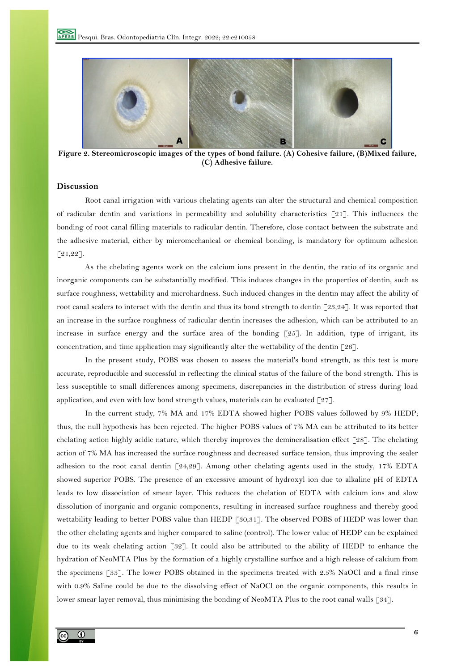

**Figure 2. Stereomicroscopic images of the types of bond failure. (A) Cohesive failure, (B)Mixed failure, (C) Adhesive failure.**

## **Discussion**

Root canal irrigation with various chelating agents can alter the structural and chemical composition of radicular dentin and variations in permeability and solubility characteristics  $\lceil 21 \rceil$ . This influences the bonding of root canal filling materials to radicular dentin. Therefore, close contact between the substrate and the adhesive material, either by micromechanical or chemical bonding, is mandatory for optimum adhesion [21,22].

As the chelating agents work on the calcium ions present in the dentin, the ratio of its organic and inorganic components can be substantially modified. This induces changes in the properties of dentin, such as surface roughness, wettability and microhardness. Such induced changes in the dentin may affect the ability of root canal sealers to interact with the dentin and thus its bond strength to dentin [23,24]. It was reported that an increase in the surface roughness of radicular dentin increases the adhesion, which can be attributed to an increase in surface energy and the surface area of the bonding [25]. In addition, type of irrigant, its concentration, and time application may significantly alter the wettability of the dentin [26].

In the present study, POBS was chosen to assess the material's bond strength, as this test is more accurate, reproducible and successful in reflecting the clinical status of the failure of the bond strength. This is less susceptible to small differences among specimens, discrepancies in the distribution of stress during load application, and even with low bond strength values, materials can be evaluated  $[27]$ .

In the current study, 7% MA and 17% EDTA showed higher POBS values followed by 9% HEDP; thus, the null hypothesis has been rejected. The higher POBS values of 7% MA can be attributed to its better chelating action highly acidic nature, which thereby improves the demineralisation effect [28]. The chelating action of 7% MA has increased the surface roughness and decreased surface tension, thus improving the sealer adhesion to the root canal dentin [24,29]. Among other chelating agents used in the study, 17% EDTA showed superior POBS. The presence of an excessive amount of hydroxyl ion due to alkaline pH of EDTA leads to low dissociation of smear layer. This reduces the chelation of EDTA with calcium ions and slow dissolution of inorganic and organic components, resulting in increased surface roughness and thereby good wettability leading to better POBS value than HEDP [30,31]. The observed POBS of HEDP was lower than the other chelating agents and higher compared to saline (control). The lower value of HEDP can be explained due to its weak chelating action [32]. It could also be attributed to the ability of HEDP to enhance the hydration of NeoMTA Plus by the formation of a highly crystalline surface and a high release of calcium from the specimens [33]. The lower POBS obtained in the specimens treated with 2.5% NaOCl and a final rinse with 0.9% Saline could be due to the dissolving effect of NaOCl on the organic components, this results in lower smear layer removal, thus minimising the bonding of NeoMTA Plus to the root canal walls [34].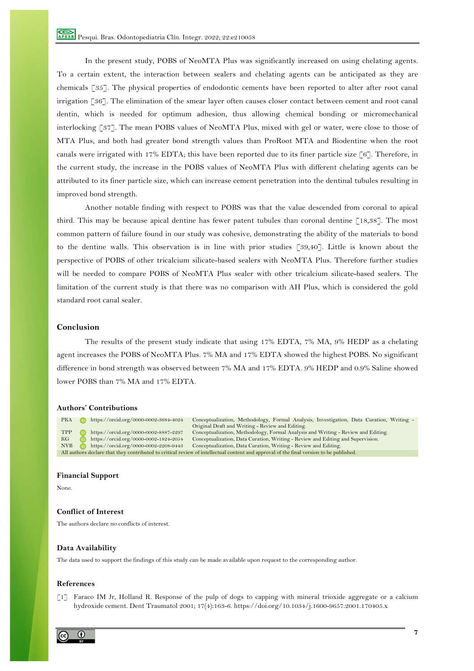In the present study, POBS of NeoMTA Plus was significantly increased on using chelating agents. To a certain extent, the interaction between sealers and chelating agents can be anticipated as they are chemicals [35]. The physical properties of endodontic cements have been reported to alter after root canal irrigation [36]. The elimination of the smear layer often causes closer contact between cement and root canal dentin, which is needed for optimum adhesion, thus allowing chemical bonding or micromechanical interlocking [37]. The mean POBS values of NeoMTA Plus, mixed with gel or water, were close to those of MTA Plus, and both had greater bond strength values than ProRoot MTA and Biodentine when the root canals were irrigated with 17% EDTA; this have been reported due to its finer particle size [6]. Therefore, in the current study, the increase in the POBS values of NeoMTA Plus with different chelating agents can be attributed to its finer particle size, which can increase cement penetration into the dentinal tubules resulting in improved bond strength.

Another notable finding with respect to POBS was that the value descended from coronal to apical third. This may be because apical dentine has fewer patent tubules than coronal dentine [18,38]. The most common pattern of failure found in our study was cohesive, demonstrating the ability of the materials to bond to the dentine walls. This observation is in line with prior studies [39,40]. Little is known about the perspective of POBS of other tricalcium silicate-based sealers with NeoMTA Plus. Therefore further studies will be needed to compare POBS of NeoMTA Plus sealer with other tricalcium silicate-based sealers. The limitation of the current study is that there was no comparison with AH Plus, which is considered the gold standard root canal sealer.

## **Conclusion**

The results of the present study indicate that using 17% EDTA, 7% MA, 9% HEDP as a chelating agent increases the POBS of NeoMTA Plus. 7% MA and 17% EDTA showed the highest POBS. No significant difference in bond strength was observed between 7% MA and 17% EDTA. 9% HEDP and 0.9% Saline showed lower POBS than 7% MA and 17% EDTA.

## **Authors' Contributions**

PKA https://orcid.org/0000-0002-3684-4024 Conceptualization, Methodology, Formal Analysis, Investigation, Data Curation, Writing -Original Draft and Writing - Review and Editing.<br>TPP https://orcid.org/0000-0002-8887-2297 Conceptualization, Methodology, Formal Analysis and Writing - Review and Editing. KG https://orcid.org/0000-0002-1824-2054 Conceptualization, Data Curation, Writing - Review and Editing and Supervision.<br>NVB https://orcid.org/0000-0002-2208-9443 Conceptualization, Data Curation, Writing - Review and Edit Conceptualization, Data Curation, Writing - Review and Editing. All authors declare that they contributed to critical review of intellectual content and approval of the final version to be published.

#### **Financial Support**

None.

## **Conflict of Interest**

The authors declare no conflicts of interest.

## **Data Availability**

The data used to support the findings of this study can be made available upon request to the corresponding author.

#### **References**

[1] Faraco IM Jr, Holland R. Response of the pulp of dogs to capping with mineral trioxide aggregate or a calcium hydroxide cement. Dent Traumatol 2001; 17(4):163-6. https://doi.org/10.1034/j.1600-9657.2001.170405.x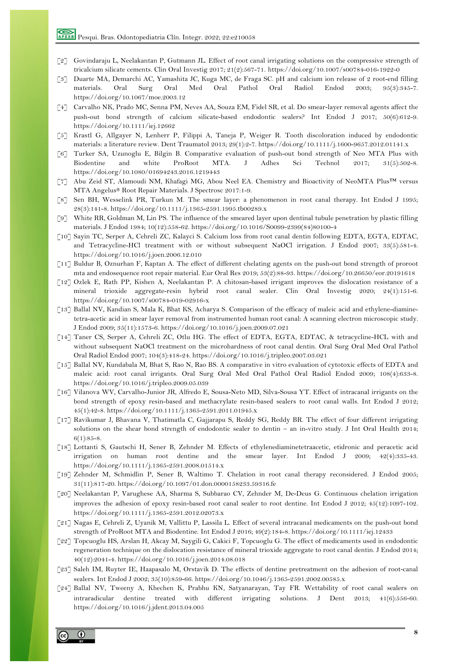- [2] Govindaraju L, Neelakantan P, Gutmann JL. Effect of root canal irrigating solutions on the compressive strength of tricalcium silicate cements. Clin Oral Investig 2017; 21(2):567-71. https://doi.org/10.1007/s00784-016-1922-0
- [3] Duarte MA, Demarchi AC, Yamashita JC, Kuga MC, de Fraga SC. pH and calcium ion release of 2 root-end filling materials. Oral Surg Oral Med Oral Pathol Oral Radiol Endod 2003; 95(3):345-7. https://doi.org/10.1067/moe.2003.12
- [4] Carvalho NK, Prado MC, Senna PM, Neves AA, Souza EM, Fidel SR, et al. Do smear-layer removal agents affect the push-out bond strength of calcium silicate-based endodontic sealers? Int Endod J 2017; 50(6):612-9. https://doi.org/10.1111/iej.12662
- [5] Krastl G, Allgayer N, Lenherr P, Filippi A, Taneja P, Weiger R. Tooth discoloration induced by endodontic materials: a literature review. Dent Traumatol 2013; 29(1):2-7. https://doi.org/10.1111/j.1600-9657.2012.01141.x
- [6] Turker SA, Uzunoglu E, Bilgin B. Comparative evaluation of push-out bond strength of Neo MTA Plus with Biodentine and white ProRoot MTA. J Adhes Sci Technol 2017; 31(5):502-8. https://doi.org/10.1080/01694243.2016.1219443
- [7] Abu Zeid ST, Alamoudi NM, Khafagi MG, Abou Neel EA. Chemistry and Bioactivity of NeoMTA Plus™ versus MTA Angelus® Root Repair Materials. J Spectrosc 2017:1-9.
- [8] Sen BH, Wesselink PR, Turkun M. The smear layer: a phenomenon in root canal therapy. Int Endod J 1995; 28(3):141-8. https://doi.org/10.1111/j.1365-2591.1995.tb00289.x
- [9] White RR, Goldman M, Lin PS. The influence of the smeared layer upon dentinal tubule penetration by plastic filling materials. J Endod 1984; 10(12):558-62. https://doi.org/10.1016/S0099-2399(84)80100-4
- [10] Sayin TC, Serper A, Cehreli ZC, Kalayci S. Calcium loss from root canal dentin following EDTA, EGTA, EDTAC, and Tetracycline-HCl treatment with or without subsequent NaOCl irrigation. J Endod 2007; 33(5):581-4. https://doi.org/10.1016/j.joen.2006.12.010
- [11] Buldur B, Oznurhan F, Kaptan A. The effect of different chelating agents on the push-out bond strength of proroot mta and endosequence root repair material. Eur Oral Res 2019; 53(2):88-93. https://doi.org/10.26650/eor.20191618
- [12] Ozlek E, Rath PP, Kishen A, Neelakantan P. A chitosan-based irrigant improves the dislocation resistance of a mineral trioxide aggregate-resin hybrid root canal sealer. Clin Oral Investig 2020; 24(1):151-6. https://doi.org/10.1007/s00784-019-02916-x
- [13] Ballal NV, Kandian S, Mala K, Bhat KS, Acharya S. Comparison of the efficacy of maleic acid and ethylene-diaminetetra-acetic acid in smear layer removal from instrumented human root canal: A scanning electron microscopic study. J Endod 2009; 35(11):1573-6. https://doi.org/10.1016/j.joen.2009.07.021
- [14] Taner CS, Serper A, Cehreli ZC, Otlu HG. The effect of EDTA, EGTA, EDTAC, & tetracycline-HCL with and without subsequent NaOCl treatment on the microhardness of root canal dentin. Oral Surg Oral Med Oral Pathol Oral Radiol Endod 2007; 104(3):418-24. https://doi.org/10.1016/j.tripleo.2007.03.021
- [15] Ballal NV, Kundabala M, Bhat S, Rao N, Rao BS. A comparative in vitro evaluation of cytotoxic effects of EDTA and maleic acid: root canal irrigants. Oral Surg Oral Med Oral Pathol Oral Radiol Endod 2009; 108(4):633-8. https://doi.org/10.1016/j.tripleo.2009.05.039
- [16] Vilanova WV, Carvalho-Junior JR, Alfredo E, Sousa-Neto MD, Silva-Sousa YT. Effect of intracanal irrigants on the bond strength of epoxy resin-based and methacrylate resin-based sealers to root canal walls. Int Endod J 2012; 45(1):42-8. https://doi.org/10.1111/j.1365-2591.2011.01945.x
- [17] Ravikumar J, Bhavana V, Thatimatla C, Gajjarapu S, Reddy SG, Reddy BR. The effect of four different irrigating solutions on the shear bond strength of endodontic sealer to dentin – an in-vitro study. J Int Oral Health 2014; 6(1):85-8.
- [18] Lottanti S, Gautschi H, Sener B, Zehnder M. Effects of ethylenediaminetetraacetic, etidronic and peracetic acid irrigation on human root dentine and the smear layer. Int Endod J 2009; 42(4):335-43. https://doi.org/10.1111/j.1365-2591.2008.01514.x
- [19] Zehnder M, Schmidlin P, Sener B, Waltimo T. Chelation in root canal therapy reconsidered. J Endod 2005; 31(11):817-20. https://doi.org/10.1097/01.don.0000158233.59316.fe
- [20] Neelakantan P, Varughese AA, Sharma S, Subbarao CV, Zehnder M, De-Deus G. Continuous chelation irrigation improves the adhesion of epoxy resin-based root canal sealer to root dentine. Int Endod J 2012; 45(12):1097-102. https://doi.org/10.1111/j.1365-2591.2012.02073.x
- [21] Nagas E, Cehreli Z, Uyanik M, Vallittu P, Lassila L. Effect of several intracanal medicaments on the push-out bond strength of ProRoot MTA and Biodentine. Int Endod J 2016; 49(2):184-8. https://doi.org/10.1111/iej.12433
- [22] Topcuoglu HS, Arslan H, Akcay M, Saygili G, Cakici F, Topcuoglu G. The effect of medicaments used in endodontic regeneration technique on the dislocation resistance of mineral trioxide aggregate to root canal dentin. J Endod 2014; 40(12):2041-4. https://doi.org/10.1016/j.joen.2014.08.018
- [23] Saleh IM, Ruyter IE, Haapasalo M, Orstavik D. The effects of dentine pretreatment on the adhesion of root-canal sealers. Int Endod J 2002; 35(10):859-66. https://doi.org/10.1046/j.1365-2591.2002.00585.x
- [24] Ballal NV, Tweeny A, Khechen K, Prabhu KN, Satyanarayan, Tay FR. Wettability of root canal sealers on intraradicular dentine treated with different irrigating solutions. J Dent 2013; 41(6):556-60. https://doi.org/10.1016/j.jdent.2013.04.005